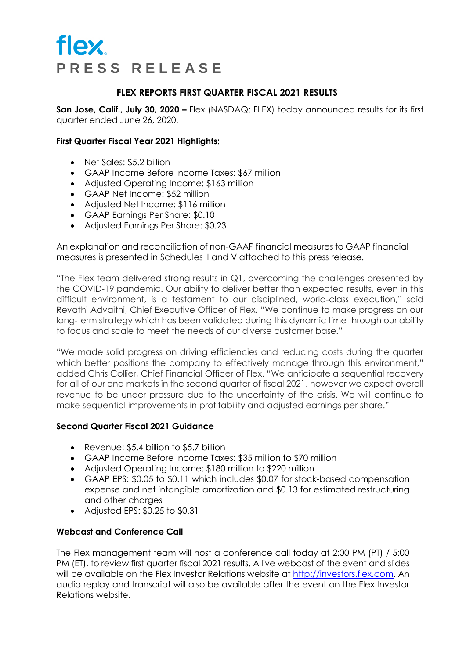### **FLEX REPORTS FIRST QUARTER FISCAL 2021 RESULTS**

**San Jose, Calif., July 30, 2020 –** Flex (NASDAQ: FLEX) today announced results for its first quarter ended June 26, 2020.

#### **First Quarter Fiscal Year 2021 Highlights:**

- Net Sales: \$5.2 billion
- GAAP Income Before Income Taxes: \$67 million
- Adjusted Operating Income: \$163 million
- GAAP Net Income: \$52 million
- Adjusted Net Income: \$116 million
- GAAP Earnings Per Share: \$0.10
- Adjusted Earnings Per Share: \$0.23

An explanation and reconciliation of non-GAAP financial measures to GAAP financial measures is presented in Schedules II and V attached to this press release.

"The Flex team delivered strong results in Q1, overcoming the challenges presented by the COVID-19 pandemic. Our ability to deliver better than expected results, even in this difficult environment, is a testament to our disciplined, world-class execution," said Revathi Advaithi, Chief Executive Officer of Flex. "We continue to make progress on our long-term strategy which has been validated during this dynamic time through our ability to focus and scale to meet the needs of our diverse customer base."

"We made solid progress on driving efficiencies and reducing costs during the quarter which better positions the company to effectively manage through this environment," added Chris Collier, Chief Financial Officer of Flex. "We anticipate a sequential recovery for all of our end markets in the second quarter of fiscal 2021, however we expect overall revenue to be under pressure due to the uncertainty of the crisis. We will continue to make sequential improvements in profitability and adjusted earnings per share."

### **Second Quarter Fiscal 2021 Guidance**

- Revenue: \$5.4 billion to \$5.7 billion
- GAAP Income Before Income Taxes: \$35 million to \$70 million
- Adjusted Operating Income: \$180 million to \$220 million
- GAAP EPS: \$0.05 to \$0.11 which includes \$0.07 for stock-based compensation expense and net intangible amortization and \$0.13 for estimated restructuring and other charges
- Adjusted EPS: \$0.25 to \$0.31

#### **Webcast and Conference Call**

The Flex management team will host a conference call today at 2:00 PM (PT) / 5:00 PM (ET), to review first quarter fiscal 2021 results. A live webcast of the event and slides will be available on the Flex Investor Relations website at http://investors.flex.com. An audio replay and transcript will also be available after the event on the Flex Investor Relations website.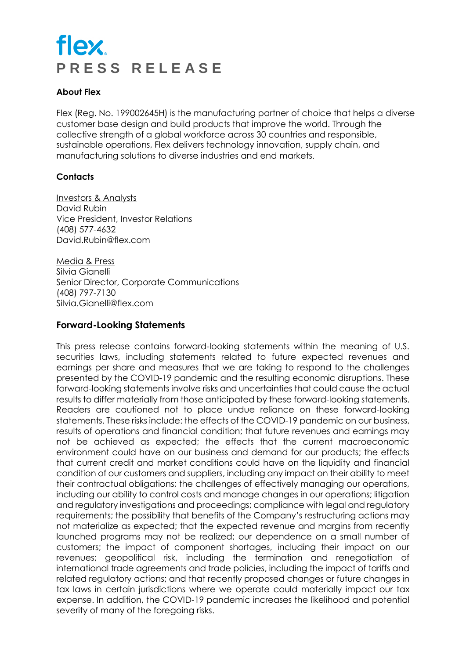### **About Flex**

Flex (Reg. No. 199002645H) is the manufacturing partner of choice that helps a diverse customer base design and build products that improve the world. Through the collective strength of a global workforce across 30 countries and responsible, sustainable operations, Flex delivers technology innovation, supply chain, and manufacturing solutions to diverse industries and end markets.

### **Contacts**

Investors & Analysts David Rubin Vice President, Investor Relations (408) 577-4632 David.Rubin@flex.com

Media & Press Silvia Gianelli Senior Director, Corporate Communications (408) 797-7130 Silvia.Gianelli@flex.com

### **Forward-Looking Statements**

This press release contains forward-looking statements within the meaning of U.S. securities laws, including statements related to future expected revenues and earnings per share and measures that we are taking to respond to the challenges presented by the COVID-19 pandemic and the resulting economic disruptions. These forward-looking statements involve risks and uncertainties that could cause the actual results to differ materially from those anticipated by these forward-looking statements. Readers are cautioned not to place undue reliance on these forward-looking statements. These risks include: the effects of the COVID-19 pandemic on our business, results of operations and financial condition; that future revenues and earnings may not be achieved as expected; the effects that the current macroeconomic environment could have on our business and demand for our products; the effects that current credit and market conditions could have on the liquidity and financial condition of our customers and suppliers, including any impact on their ability to meet their contractual obligations; the challenges of effectively managing our operations, including our ability to control costs and manage changes in our operations; litigation and regulatory investigations and proceedings; compliance with legal and regulatory requirements; the possibility that benefits of the Company's restructuring actions may not materialize as expected; that the expected revenue and margins from recently launched programs may not be realized; our dependence on a small number of customers; the impact of component shortages, including their impact on our revenues; geopolitical risk, including the termination and renegotiation of international trade agreements and trade policies, including the impact of tariffs and related regulatory actions; and that recently proposed changes or future changes in tax laws in certain jurisdictions where we operate could materially impact our tax expense. In addition, the COVID-19 pandemic increases the likelihood and potential severity of many of the foregoing risks.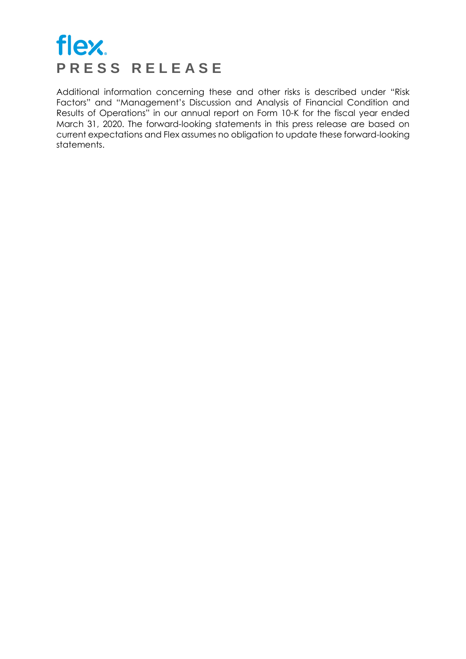Additional information concerning these and other risks is described under "Risk Factors" and "Management's Discussion and Analysis of Financial Condition and Results of Operations" in our annual report on Form 10-K for the fiscal year ended March 31, 2020. The forward-looking statements in this press release are based on current expectations and Flex assumes no obligation to update these forward-looking statements.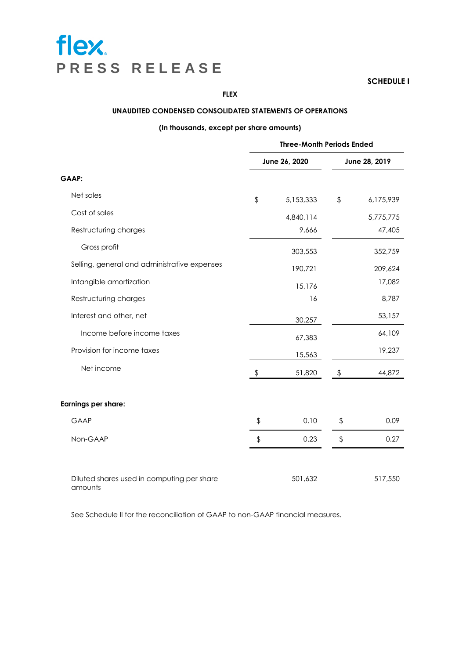**SCHEDULE I**

**FLEX**

#### **UNAUDITED CONDENSED CONSOLIDATED STATEMENTS OF OPERATIONS**

#### **(In thousands, except per share amounts)**

|                                                       | <b>Three-Month Periods Ended</b> |           |                         |           |
|-------------------------------------------------------|----------------------------------|-----------|-------------------------|-----------|
|                                                       | June 26, 2020                    |           | June 28, 2019           |           |
| <b>GAAP:</b>                                          |                                  |           |                         |           |
| Net sales                                             | $\sqrt[6]{2}$                    | 5,153,333 | $\sqrt[6]{\frac{1}{2}}$ | 6,175,939 |
| Cost of sales                                         |                                  | 4,840,114 |                         | 5,775,775 |
| Restructuring charges                                 |                                  | 9,666     |                         | 47,405    |
| Gross profit                                          |                                  | 303,553   |                         | 352,759   |
| Selling, general and administrative expenses          |                                  | 190,721   |                         | 209,624   |
| Intangible amortization                               |                                  | 15,176    |                         | 17,082    |
| Restructuring charges                                 |                                  | 16        |                         | 8,787     |
| Interest and other, net                               |                                  | 30,257    |                         | 53,157    |
| Income before income taxes                            |                                  | 67,383    |                         | 64,109    |
| Provision for income taxes                            |                                  | 15,563    |                         | 19,237    |
| Net income                                            |                                  | 51,820    |                         | 44,872    |
| <b>Earnings per share:</b>                            |                                  |           |                         |           |
| GAAP                                                  | \$                               | 0.10      | \$                      | 0.09      |
| Non-GAAP                                              | \$                               | 0.23      | $\frac{1}{2}$           | 0.27      |
| Diluted shares used in computing per share<br>amounts |                                  | 501,632   |                         | 517,550   |

See Schedule II for the reconciliation of GAAP to non-GAAP financial measures.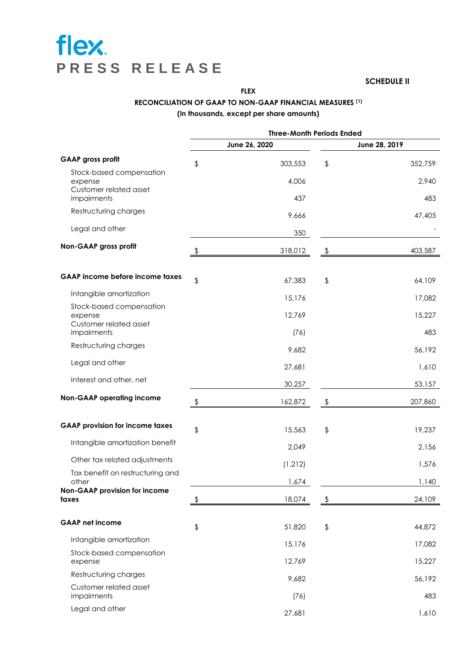**SCHEDULE II**

**FLEX**

#### **RECONCILIATION OF GAAP TO NON-GAAP FINANCIAL MEASURES (1)**

**(In thousands, except per share amounts)**

|                                                               | <b>Three-Month Periods Ended</b> |               |               |               |
|---------------------------------------------------------------|----------------------------------|---------------|---------------|---------------|
|                                                               |                                  | June 26, 2020 |               | June 28, 2019 |
| <b>GAAP</b> gross profit                                      | \$                               | 303,553       | \$            | 352,759       |
| Stock-based compensation<br>expense<br>Customer related asset |                                  | 4,006         |               | 2,940         |
| impairments                                                   |                                  | 437           |               | 483           |
| Restructuring charges                                         |                                  | 9,666         |               | 47,405        |
| Legal and other                                               |                                  | 350           |               |               |
| Non-GAAP gross profit                                         | \$                               | 318,012       | $\frac{1}{2}$ | 403,587       |
| GAAP income before income taxes                               | \$                               | 67,383        | \$            | 64,109        |
| Intangible amortization                                       |                                  | 15,176        |               | 17,082        |
| Stock-based compensation<br>expense<br>Customer related asset |                                  | 12,769        |               | 15,227        |
| impairments                                                   |                                  | (76)          |               | 483           |
| Restructuring charges                                         |                                  | 9,682         |               | 56,192        |
| Legal and other                                               |                                  | 27,681        |               | 1,610         |
| Interest and other, net                                       |                                  | 30,257        |               | 53,157        |
| <b>Non-GAAP operating income</b>                              | \$                               | 162,872       | $\frac{1}{2}$ | 207,860       |
| <b>GAAP provision for income taxes</b>                        | \$                               | 15,563        | \$            | 19,237        |
| Intangible amortization benefit                               |                                  | 2,049         |               | 2,156         |
| Other tax related adjustments                                 |                                  | (1, 212)      |               | 1,576         |
| Tax benefit on restructuring and<br>other                     |                                  | 1,674         |               | 1,140         |
| <b>Non-GAAP provision for income</b><br>taxes                 | \$                               | 18,074        | \$            | 24,109        |
| <b>GAAP net income</b>                                        | \$                               | 51,820        | \$            | 44,872        |
| Intangible amortization                                       |                                  | 15,176        |               | 17,082        |
| Stock-based compensation<br>expense                           |                                  | 12,769        |               | 15,227        |
| Restructuring charges                                         |                                  | 9,682         |               | 56,192        |
| Customer related asset<br>impairments                         |                                  | (76)          |               | 483           |
| Legal and other                                               |                                  | 27,681        |               | 1,610         |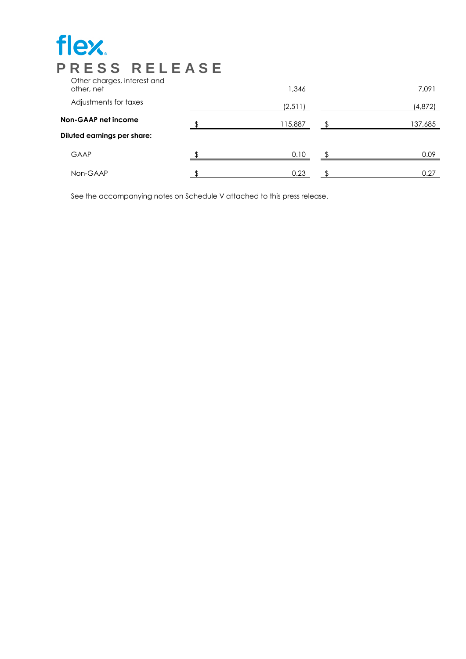| Other charges, interest and<br>other, net | 1,346   | 7,091    |
|-------------------------------------------|---------|----------|
| Adjustments for taxes                     | (2,511) | (4, 872) |
| Non-GAAP net income                       | 115,887 | 137,685  |
| <b>Diluted earnings per share:</b>        |         |          |
| GAAP                                      | 0.10    | 0.09     |
| Non-GAAP                                  | 0.23    | 0.27     |

See the accompanying notes on Schedule V attached to this press release.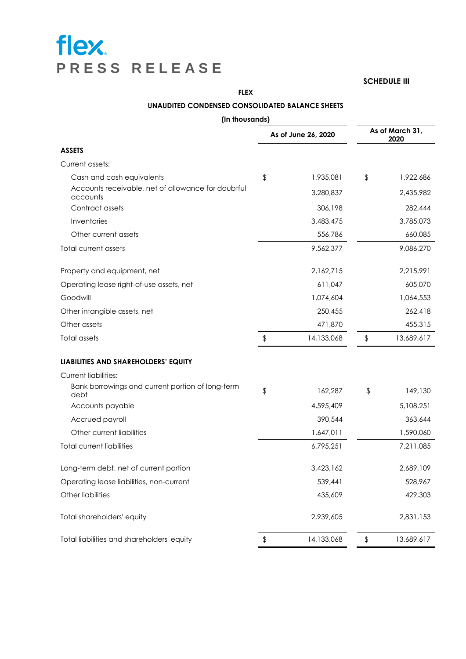**SCHEDULE III**

**FLEX**

#### **UNAUDITED CONDENSED CONSOLIDATED BALANCE SHEETS**

#### **(In thousands)**

|                                                                | As of June 26, 2020 |            | As of March 31,<br>2020 |            |
|----------------------------------------------------------------|---------------------|------------|-------------------------|------------|
| <b>ASSETS</b>                                                  |                     |            |                         |            |
| Current assets:                                                |                     |            |                         |            |
| Cash and cash equivalents                                      | \$                  | 1,935,081  | \$                      | 1,922,686  |
| Accounts receivable, net of allowance for doubtful<br>accounts |                     | 3,280,837  |                         | 2,435,982  |
| Contract assets                                                |                     | 306,198    |                         | 282,444    |
| Inventories                                                    |                     | 3,483,475  |                         | 3,785,073  |
| Other current assets                                           |                     | 556,786    |                         | 660,085    |
| Total current assets                                           |                     | 9,562,377  |                         | 9,086,270  |
| Property and equipment, net                                    |                     | 2,162,715  |                         | 2,215,991  |
| Operating lease right-of-use assets, net                       |                     | 611,047    |                         | 605,070    |
| Goodwill                                                       |                     | 1,074,604  |                         | 1,064,553  |
| Other intangible assets, net                                   |                     | 250,455    |                         | 262,418    |
| Other assets                                                   |                     | 471,870    |                         | 455,315    |
| Total assets                                                   | \$                  | 14,133,068 | \$                      | 13,689,617 |
| LIABILITIES AND SHAREHOLDERS' EQUITY                           |                     |            |                         |            |
| <b>Current liabilities:</b>                                    |                     |            |                         |            |
| Bank borrowings and current portion of long-term<br>debt       | \$                  | 162,287    | \$                      | 149,130    |
| Accounts payable                                               |                     | 4,595,409  |                         | 5,108,251  |
| Accrued payroll                                                |                     | 390,544    |                         | 363,644    |
| Other current liabilities                                      |                     | 1,647,011  |                         | 1,590,060  |
| <b>Total current liabilities</b>                               |                     | 6,795,251  |                         | 7,211,085  |
| Long-term debt, net of current portion                         |                     | 3,423,162  |                         | 2,689,109  |
| Operating lease liabilities, non-current                       |                     | 539,441    |                         | 528,967    |
| Other liabilities                                              |                     | 435,609    |                         | 429,303    |
| Total shareholders' equity                                     |                     | 2,939,605  |                         | 2,831,153  |
| Total liabilities and shareholders' equity                     | \$                  | 14,133,068 | \$                      | 13,689,617 |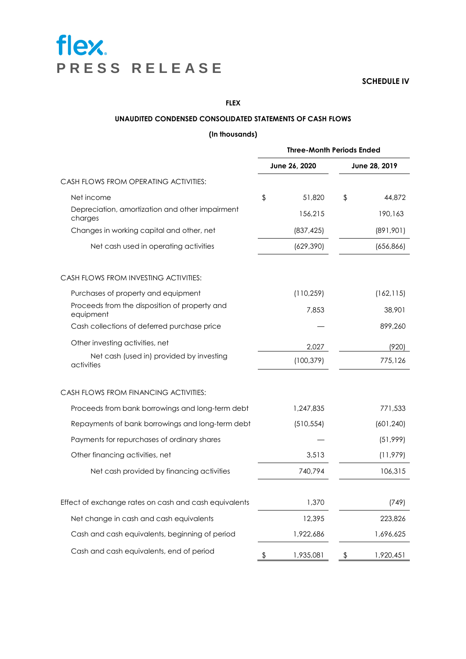

**SCHEDULE IV**

#### **FLEX**

#### **UNAUDITED CONDENSED CONSOLIDATED STATEMENTS OF CASH FLOWS**

#### **(In thousands)**

|                                                            | <b>Three-Month Periods Ended</b> |                 |  |
|------------------------------------------------------------|----------------------------------|-----------------|--|
|                                                            | June 26, 2020                    | June 28, 2019   |  |
| CASH FLOWS FROM OPERATING ACTIVITIES:                      |                                  |                 |  |
| Net income                                                 | \$<br>51,820                     | \$<br>44,872    |  |
| Depreciation, amortization and other impairment<br>charges | 156,215                          | 190,163         |  |
| Changes in working capital and other, net                  | (837, 425)                       | (891,901)       |  |
| Net cash used in operating activities                      | (629, 390)                       | (656, 866)      |  |
| CASH FLOWS FROM INVESTING ACTIVITIES:                      |                                  |                 |  |
| Purchases of property and equipment                        | (110, 259)                       | (162, 115)      |  |
| Proceeds from the disposition of property and<br>equipment | 7,853                            | 38,901          |  |
| Cash collections of deferred purchase price                |                                  | 899,260         |  |
| Other investing activities, net                            | 2,027                            | (920)           |  |
| Net cash (used in) provided by investing<br>activities     | (100, 379)                       | 775,126         |  |
| CASH FLOWS FROM FINANCING ACTIVITIES:                      |                                  |                 |  |
| Proceeds from bank borrowings and long-term debt           | 1,247,835                        | 771,533         |  |
| Repayments of bank borrowings and long-term debt           | (510, 554)                       | (601, 240)      |  |
| Payments for repurchases of ordinary shares                |                                  | (51,999)        |  |
| Other financing activities, net                            | 3,513                            | (11, 979)       |  |
| Net cash provided by financing activities                  | 740,794                          | 106,315         |  |
| Effect of exchange rates on cash and cash equivalents      | 1,370                            | (749)           |  |
| Net change in cash and cash equivalents                    | 12,395                           | 223,826         |  |
| Cash and cash equivalents, beginning of period             | 1,922,686                        | 1,696,625       |  |
| Cash and cash equivalents, end of period                   | 1,935,081<br>\$                  | 1,920,451<br>\$ |  |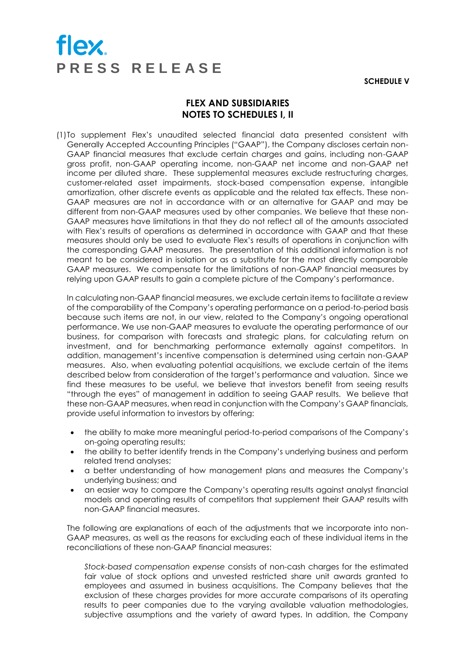**SCHEDULE V**

### **FLEX AND SUBSIDIARIES NOTES TO SCHEDULES I, II**

(1)To supplement Flex's unaudited selected financial data presented consistent with Generally Accepted Accounting Principles ("GAAP"), the Company discloses certain non-GAAP financial measures that exclude certain charges and gains, including non-GAAP gross profit, non-GAAP operating income, non-GAAP net income and non-GAAP net income per diluted share. These supplemental measures exclude restructuring charges, customer-related asset impairments, stock-based compensation expense, intangible amortization, other discrete events as applicable and the related tax effects. These non-GAAP measures are not in accordance with or an alternative for GAAP and may be different from non-GAAP measures used by other companies. We believe that these non-GAAP measures have limitations in that they do not reflect all of the amounts associated with Flex's results of operations as determined in accordance with GAAP and that these measures should only be used to evaluate Flex's results of operations in conjunction with the corresponding GAAP measures. The presentation of this additional information is not meant to be considered in isolation or as a substitute for the most directly comparable GAAP measures. We compensate for the limitations of non-GAAP financial measures by relying upon GAAP results to gain a complete picture of the Company's performance.

In calculating non-GAAP financial measures, we exclude certain items to facilitate a review of the comparability of the Company's operating performance on a period-to-period basis because such items are not, in our view, related to the Company's ongoing operational performance. We use non-GAAP measures to evaluate the operating performance of our business, for comparison with forecasts and strategic plans, for calculating return on investment, and for benchmarking performance externally against competitors. In addition, management's incentive compensation is determined using certain non-GAAP measures. Also, when evaluating potential acquisitions, we exclude certain of the items described below from consideration of the target's performance and valuation. Since we find these measures to be useful, we believe that investors benefit from seeing results "through the eyes" of management in addition to seeing GAAP results. We believe that these non-GAAP measures, when read in conjunction with the Company's GAAP financials, provide useful information to investors by offering:

- the ability to make more meaningful period-to-period comparisons of the Company's on-going operating results;
- the ability to better identify trends in the Company's underlying business and perform related trend analyses;
- a better understanding of how management plans and measures the Company's underlying business; and
- an easier way to compare the Company's operating results against analyst financial models and operating results of competitors that supplement their GAAP results with non-GAAP financial measures.

The following are explanations of each of the adjustments that we incorporate into non-GAAP measures, as well as the reasons for excluding each of these individual items in the reconciliations of these non-GAAP financial measures:

*Stock-based compensation expense* consists of non-cash charges for the estimated fair value of stock options and unvested restricted share unit awards granted to employees and assumed in business acquisitions. The Company believes that the exclusion of these charges provides for more accurate comparisons of its operating results to peer companies due to the varying available valuation methodologies, subjective assumptions and the variety of award types. In addition, the Company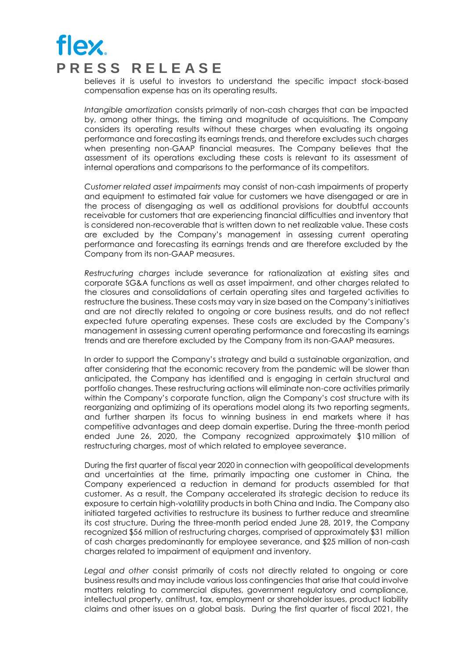believes it is useful to investors to understand the specific impact stock-based compensation expense has on its operating results.

*Intangible amortization* consists primarily of non-cash charges that can be impacted by, among other things, the timing and magnitude of acquisitions. The Company considers its operating results without these charges when evaluating its ongoing performance and forecasting its earnings trends, and therefore excludes such charges when presenting non-GAAP financial measures. The Company believes that the assessment of its operations excluding these costs is relevant to its assessment of internal operations and comparisons to the performance of its competitors.

*Customer related asset impairments* may consist of non-cash impairments of property and equipment to estimated fair value for customers we have disengaged or are in the process of disengaging as well as additional provisions for doubtful accounts receivable for customers that are experiencing financial difficulties and inventory that is considered non-recoverable that is written down to net realizable value. These costs are excluded by the Company's management in assessing current operating performance and forecasting its earnings trends and are therefore excluded by the Company from its non-GAAP measures.

*Restructuring charges* include severance for rationalization at existing sites and corporate SG&A functions as well as asset impairment, and other charges related to the closures and consolidations of certain operating sites and targeted activities to restructure the business. These costs may vary in size based on the Company's initiatives and are not directly related to ongoing or core business results, and do not reflect expected future operating expenses. These costs are excluded by the Company's management in assessing current operating performance and forecasting its earnings trends and are therefore excluded by the Company from its non-GAAP measures.

In order to support the Company's strategy and build a sustainable organization, and after considering that the economic recovery from the pandemic will be slower than anticipated, the Company has identified and is engaging in certain structural and portfolio changes. These restructuring actions will eliminate non-core activities primarily within the Company's corporate function, align the Company's cost structure with its reorganizing and optimizing of its operations model along its two reporting segments, and further sharpen its focus to winning business in end markets where it has competitive advantages and deep domain expertise. During the three-month period ended June 26, 2020, the Company recognized approximately \$10 million of restructuring charges, most of which related to employee severance.

During the first quarter of fiscal year 2020 in connection with geopolitical developments and uncertainties at the time, primarily impacting one customer in China, the Company experienced a reduction in demand for products assembled for that customer. As a result, the Company accelerated its strategic decision to reduce its exposure to certain high-volatility products in both China and India. The Company also initiated targeted activities to restructure its business to further reduce and streamline its cost structure. During the three-month period ended June 28, 2019, the Company recognized \$56 million of restructuring charges, comprised of approximately \$31 million of cash charges predominantly for employee severance, and \$25 million of non-cash charges related to impairment of equipment and inventory.

*Legal and other* consist primarily of costs not directly related to ongoing or core business results and may include various loss contingencies that arise that could involve matters relating to commercial disputes, government regulatory and compliance, intellectual property, antitrust, tax, employment or shareholder issues, product liability claims and other issues on a global basis. During the first quarter of fiscal 2021, the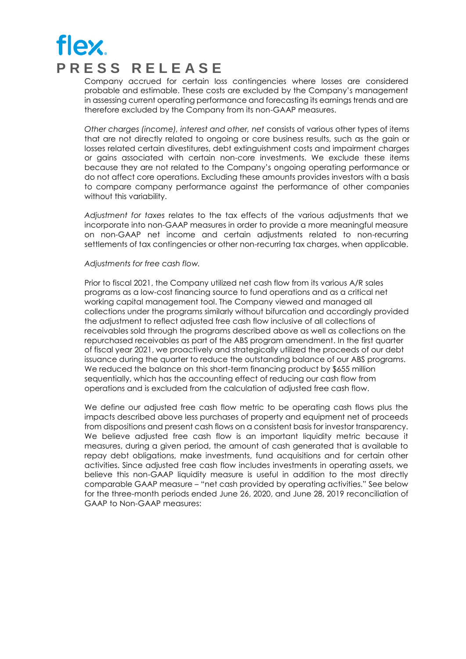Company accrued for certain loss contingencies where losses are considered probable and estimable. These costs are excluded by the Company's management in assessing current operating performance and forecasting its earnings trends and are therefore excluded by the Company from its non-GAAP measures.

*Other charges (income), interest and other, net* consists of various other types of items that are not directly related to ongoing or core business results, such as the gain or losses related certain divestitures, debt extinguishment costs and impairment charges or gains associated with certain non-core investments. We exclude these items because they are not related to the Company's ongoing operating performance or do not affect core operations. Excluding these amounts provides investors with a basis to compare company performance against the performance of other companies without this variability.

*Adjustment for taxes* relates to the tax effects of the various adjustments that we incorporate into non-GAAP measures in order to provide a more meaningful measure on non-GAAP net income and certain adjustments related to non-recurring settlements of tax contingencies or other non-recurring tax charges, when applicable.

#### *Adjustments for free cash flow.*

Prior to fiscal 2021, the Company utilized net cash flow from its various A/R sales programs as a low-cost financing source to fund operations and as a critical net working capital management tool. The Company viewed and managed all collections under the programs similarly without bifurcation and accordingly provided the adjustment to reflect adjusted free cash flow inclusive of all collections of receivables sold through the programs described above as well as collections on the repurchased receivables as part of the ABS program amendment. In the first quarter of fiscal year 2021, we proactively and strategically utilized the proceeds of our debt issuance during the quarter to reduce the outstanding balance of our ABS programs. We reduced the balance on this short-term financing product by \$655 million sequentially, which has the accounting effect of reducing our cash flow from operations and is excluded from the calculation of adjusted free cash flow.

We define our adjusted free cash flow metric to be operating cash flows plus the impacts described above less purchases of property and equipment net of proceeds from dispositions and present cash flows on a consistent basis for investor transparency. We believe adjusted free cash flow is an important liquidity metric because it measures, during a given period, the amount of cash generated that is available to repay debt obligations, make investments, fund acquisitions and for certain other activities. Since adjusted free cash flow includes investments in operating assets, we believe this non-GAAP liquidity measure is useful in addition to the most directly comparable GAAP measure – "net cash provided by operating activities." See below for the three-month periods ended June 26, 2020, and June 28, 2019 reconciliation of GAAP to Non-GAAP measures: